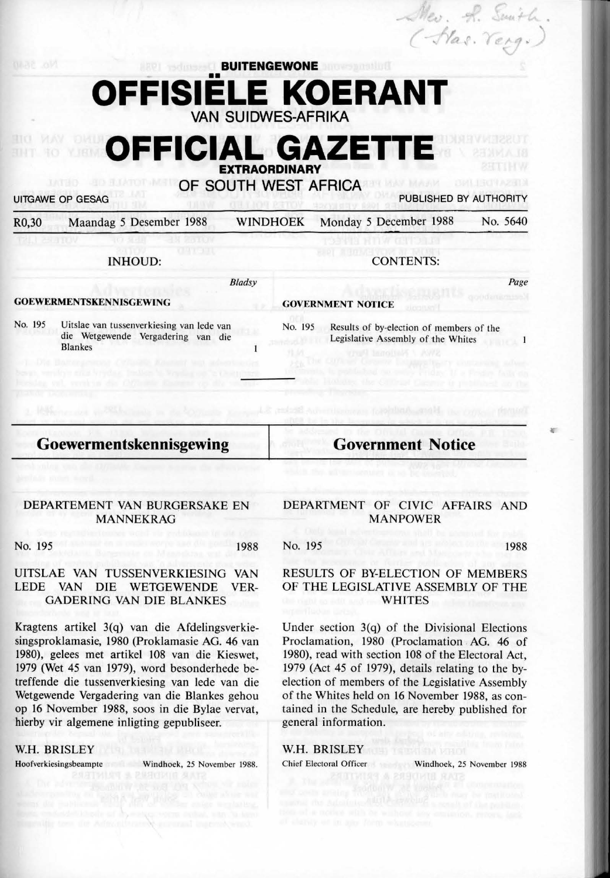# **OFFISIËLE KOERANT VAN SUIDWES-AFRIKA**

# **OFFICIAL GAZETT EXTRAORDINARY**

**OF SOUTH WEST AFRICA** 

UITGAWE OP GESAG PUBLISHED BY AUTHORITY

Page

 $\mathbf{1}$ 

**r.** 

.i;;

(-Has. Yerg.)

| R <sub>0</sub> ,30 | Maandag 5 Desember 1988 |  | WINDHOEK Monday 5 December 1988 | No. 5640 |
|--------------------|-------------------------|--|---------------------------------|----------|
|--------------------|-------------------------|--|---------------------------------|----------|

| <b>INHOUD:</b>                 |                                                                                                   |         | <b>CONTENTS:</b>                                                               |  |  |  |
|--------------------------------|---------------------------------------------------------------------------------------------------|---------|--------------------------------------------------------------------------------|--|--|--|
|                                | <b>Bladsy</b>                                                                                     |         |                                                                                |  |  |  |
| <b>GOEWERMENTSKENNISGEWING</b> |                                                                                                   |         | <b>GOVERNMENT NOTICE</b>                                                       |  |  |  |
| No. 195                        | Uitslae van tussenverkiesing van lede van<br>die Wetgewende Vergadering van die<br><b>Blankes</b> | No. 195 | Results of by-election of members of the<br>Legislative Assembly of the Whites |  |  |  |

# **Goewermentskennisgewing**

**Government Notice** 

#### DEPARTEMENT VAN BURGERSAKE EN MANNEKRAG

No. 195 1988

# UITSLAE VAN TUSSENVERKIESING VAN LEDE VAN DIE WETGEWENDE VER-GADERING VAN DIE BLANKES

Kragtens artikel 3(q) van die Afdelingsverkiesingsproklamasie, 1980 (Proklamasie AG. 46 van 1980), gelees met artikel 108 van die Kieswet, 1979 (Wet 45 van 1979), word besonderhede betreffende die tussenverkiesing van lede van die Wetgewende Vergadering van die Blankes gehou op 16 November 1988, soos in die Bylae vervat, hierby vir algemene inligting gepubliseer.

# W.H. BRISLEY

Hoofverkiesingsbeampte Windhoek, 25 November 1988.

# DEPARTMENT OF CIVIC AFFAIRS AND MANPOWER

No. 195 1988

#### RESULTS OF BY-ELECTION OF MEMBERS OF THE LEGISLATIVE ASSEMBLY OF THE **WHITES**

Under section 3(q) of the Divisional Elections Proclamation, 1980 (Proclamation . AG. 46 of 1980), read with section 108 of the Electoral Act, 1979 (Act 45 of 1979), details relating to the byelection of members of the Legislative Assembly of the Whites held on 16 November 1988, as contained in the Schedule, are hereby published for general information.

# **W.H. BRISLEY**

Chief Electoral Officer Windhoek, 25 November 1988